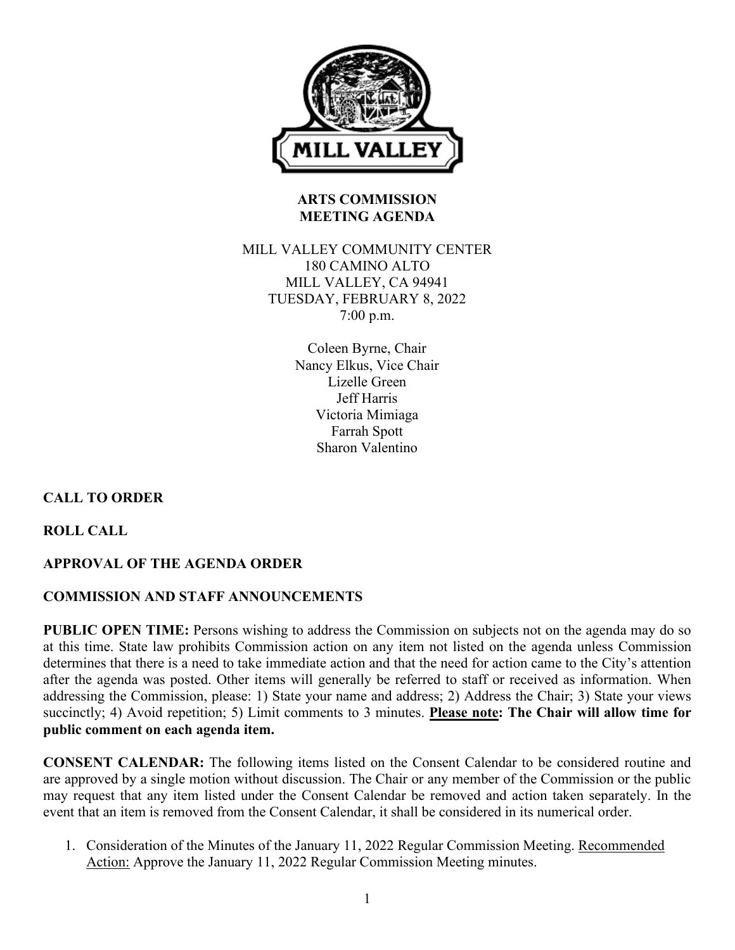

# **ARTS COMMISSION MEETING AGENDA**

## MILL VALLEY COMMUNITY CENTER 180 CAMINO ALTO MILL VALLEY, CA 94941 TUESDAY, FEBRUARY 8, 2022 7:00 p.m.

Coleen Byrne, Chair Nancy Elkus, Vice Chair Lizelle Green Jeff Harris Victoria Mimiaga Farrah Spott Sharon Valentino

# **CALL TO ORDER**

**ROLL CALL**

# **APPROVAL OF THE AGENDA ORDER**

# **COMMISSION AND STAFF ANNOUNCEMENTS**

**PUBLIC OPEN TIME:** Persons wishing to address the Commission on subjects not on the agenda may do so at this time. State law prohibits Commission action on any item not listed on the agenda unless Commission determines that there is a need to take immediate action and that the need for action came to the City's attention after the agenda was posted. Other items will generally be referred to staff or received as information. When addressing the Commission, please: 1) State your name and address; 2) Address the Chair; 3) State your views succinctly; 4) Avoid repetition; 5) Limit comments to 3 minutes. **Please note: The Chair will allow time for public comment on each agenda item.**

**CONSENT CALENDAR:** The following items listed on the Consent Calendar to be considered routine and are approved by a single motion without discussion. The Chair or any member of the Commission or the public may request that any item listed under the Consent Calendar be removed and action taken separately. In the event that an item is removed from the Consent Calendar, it shall be considered in its numerical order.

1. Consideration of the Minutes of the January 11, 2022 Regular Commission Meeting. Recommended Action: Approve the January 11, 2022 Regular Commission Meeting minutes.